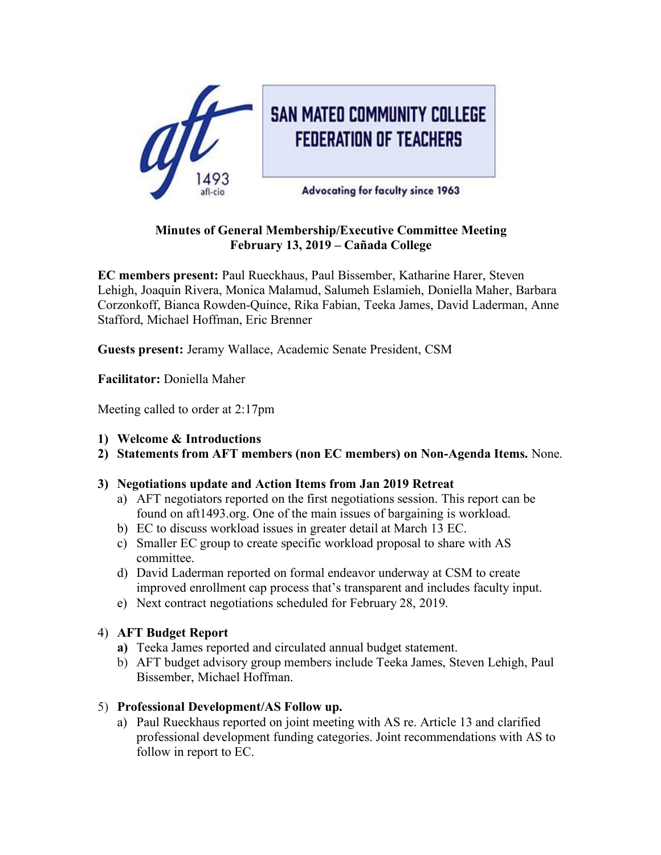

## **Minutes of General Membership/Executive Committee Meeting February 13, 2019 – Cañada College**

**EC members present:** Paul Rueckhaus, Paul Bissember, Katharine Harer, Steven Lehigh, Joaquin Rivera, Monica Malamud, Salumeh Eslamieh, Doniella Maher, Barbara Corzonkoff, Bianca Rowden-Quince, Rika Fabian, Teeka James, David Laderman, Anne Stafford, Michael Hoffman, Eric Brenner

**Guests present:** Jeramy Wallace, Academic Senate President, CSM

**Facilitator:** Doniella Maher

Meeting called to order at 2:17pm

- **1) Welcome & Introductions**
- **2) Statements from AFT members (non EC members) on Non-Agenda Items.** None.

# **3) Negotiations update and Action Items from Jan 2019 Retreat**

- a) AFT negotiators reported on the first negotiations session. This report can be found on aft1493.org. One of the main issues of bargaining is workload.
- b) EC to discuss workload issues in greater detail at March 13 EC.
- c) Smaller EC group to create specific workload proposal to share with AS committee.
- d) David Laderman reported on formal endeavor underway at CSM to create improved enrollment cap process that's transparent and includes faculty input.
- e) Next contract negotiations scheduled for February 28, 2019.
- 4) **AFT Budget Report**
	- **a)** Teeka James reported and circulated annual budget statement.
	- b) AFT budget advisory group members include Teeka James, Steven Lehigh, Paul Bissember, Michael Hoffman.

# 5) **Professional Development/AS Follow up.**

a) Paul Rueckhaus reported on joint meeting with AS re. Article 13 and clarified professional development funding categories. Joint recommendations with AS to follow in report to EC.